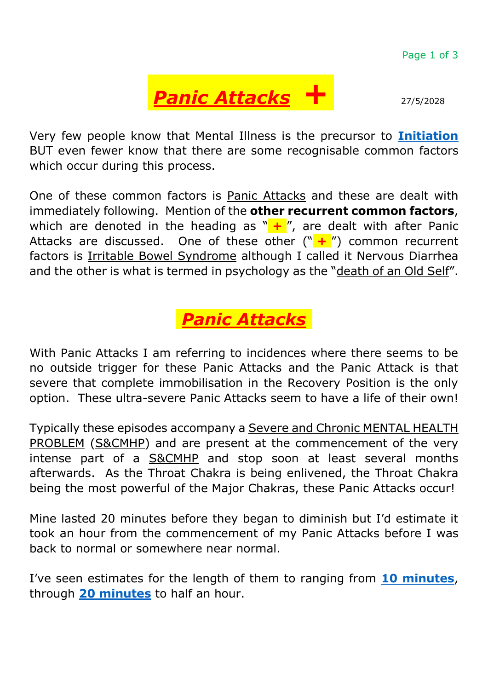

Very few people know that Mental Illness is the precursor to **[Initiation](https://theosophy.wiki/en/Initiation)** BUT even fewer know that there are some recognisable common factors which occur during this process.

One of these common factors is Panic Attacks and these are dealt with immediately following. Mention of the **other recurrent common factors**, which are denoted in the heading as " $+$ ", are dealt with after Panic Attacks are discussed. One of these other ("<sup>+</sup>/") common recurrent factors is Irritable Bowel Syndrome although I called it Nervous Diarrhea and the other is what is termed in psychology as the "death of an Old Self".

## .*Panic Attacks*.

With Panic Attacks I am referring to incidences where there seems to be no outside trigger for these Panic Attacks and the Panic Attack is that severe that complete immobilisation in the Recovery Position is the only option. These ultra-severe Panic Attacks seem to have a life of their own!

Typically these episodes accompany a Severe and Chronic MENTAL HEALTH PROBLEM (S&CMHP) and are present at the commencement of the very intense part of a **S&CMHP** and stop soon at least several months afterwards. As the Throat Chakra is being enlivened, the Throat Chakra being the most powerful of the Major Chakras, these Panic Attacks occur!

Mine lasted 20 minutes before they began to diminish but I'd estimate it took an hour from the commencement of my Panic Attacks before I was back to normal or somewhere near normal.

I've seen estimates for the length of them to ranging from **[10 minutes](https://www.healthline.com/health/panic-disorder#symptoms)**, through **[20 minutes](https://www.huffingtonpost.co.uk/2014/11/03/different-between-panic-attack-nervous-breakdown_n_6093560.html)** to half an hour.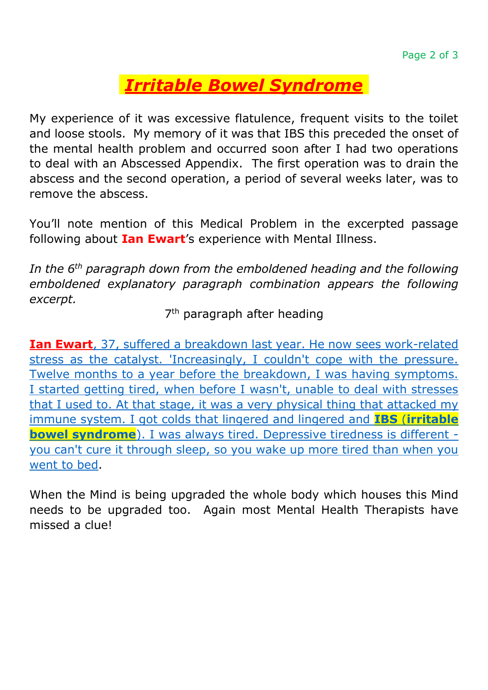## .*[Irritable Bowel Syndrome](https://www.betterhealth.vic.gov.au/health/conditionsandtreatments/irritable-bowel-syndrome-ibs)*.

My experience of it was excessive flatulence, frequent visits to the toilet and loose stools. My memory of it was that IBS this preceded the onset of the mental health problem and occurred soon after I had two operations to deal with an Abscessed Appendix. The first operation was to drain the abscess and the second operation, a period of several weeks later, was to remove the abscess.

You'll note mention of this Medical Problem in the excerpted passage following about **Ian Ewart**'s experience with Mental Illness.

*In the 6th paragraph down from the emboldened heading and the following emboldened explanatory paragraph combination appears the following excerpt.*

7<sup>th</sup> paragraph after heading

**Ian Ewart**[, 37, suffered a breakdown last year. He now sees work-related](https://www.theguardian.com/theobserver/2000/sep/10/features.magazine37)  [stress as the catalyst. 'Increasingly, I couldn't cope with the pressure.](https://www.theguardian.com/theobserver/2000/sep/10/features.magazine37)  [Twelve months to a year before the breakdown, I was having symptoms.](https://www.theguardian.com/theobserver/2000/sep/10/features.magazine37)  [I started getting tired, when before I wasn't, unable to deal with stresses](https://www.theguardian.com/theobserver/2000/sep/10/features.magazine37)  [that I used to. At that stage, it was a very physical thing that attacked my](https://www.theguardian.com/theobserver/2000/sep/10/features.magazine37)  [immune system. I got colds that lingered and lingered and](https://www.theguardian.com/theobserver/2000/sep/10/features.magazine37) **IBS** (**irritable bowel syndrome**[\). I was always tired. Depressive tiredness is different](https://www.theguardian.com/theobserver/2000/sep/10/features.magazine37)  [you can't cure it through sleep, so you wake up more tired than when you](https://www.theguardian.com/theobserver/2000/sep/10/features.magazine37)  [went to bed.](https://www.theguardian.com/theobserver/2000/sep/10/features.magazine37)

When the Mind is being upgraded the whole body which houses this Mind needs to be upgraded too. Again most Mental Health Therapists have missed a clue!